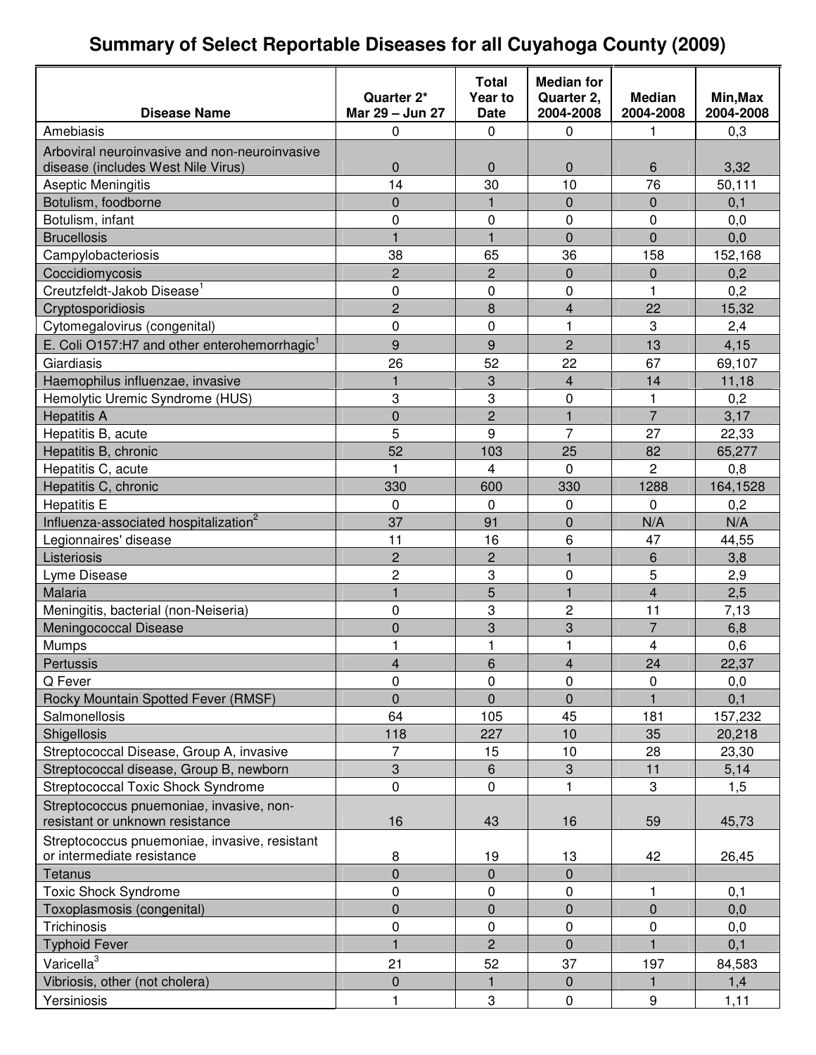## **Summary of Select Reportable Diseases for all Cuyahoga County (2009)**

|                                                          |                               | <b>Total</b>           | <b>Median for</b>       |                            |                       |
|----------------------------------------------------------|-------------------------------|------------------------|-------------------------|----------------------------|-----------------------|
| <b>Disease Name</b>                                      | Quarter 2*<br>Mar 29 - Jun 27 | Year to<br><b>Date</b> | Quarter 2,<br>2004-2008 | <b>Median</b><br>2004-2008 | Min, Max<br>2004-2008 |
| Amebiasis                                                | 0                             | 0                      | 0                       | 1                          | 0,3                   |
| Arboviral neuroinvasive and non-neuroinvasive            |                               |                        |                         |                            |                       |
| disease (includes West Nile Virus)                       | 0                             | $\mathbf 0$            | $\mathbf{0}$            | 6                          | 3,32                  |
| Aseptic Meningitis                                       | 14                            | 30                     | 10                      | 76                         | 50,111                |
| Botulism, foodborne                                      | 0                             | $\mathbf{1}$           | $\mathbf 0$             | 0                          | 0,1                   |
| Botulism, infant                                         | 0                             | 0                      | $\mathbf 0$             | 0                          | 0,0                   |
| <b>Brucellosis</b>                                       | $\mathbf{1}$                  | $\mathbf{1}$           | $\overline{0}$          | $\overline{0}$             | 0,0                   |
| Campylobacteriosis                                       | 38                            | 65                     | 36                      | 158                        | 152,168               |
| Coccidiomycosis                                          | $\overline{c}$                | $\overline{c}$         | $\Omega$                | 0                          | 0,2                   |
| Creutzfeldt-Jakob Disease <sup>1</sup>                   | 0                             | 0                      | $\mathbf 0$             | 1                          | 0,2                   |
| Cryptosporidiosis                                        | $\overline{c}$                | 8                      | 4                       | 22                         | 15,32                 |
| Cytomegalovirus (congenital)                             | 0                             | $\pmb{0}$              | 1                       | 3                          | 2,4                   |
| E. Coli O157:H7 and other enterohemorrhagic <sup>1</sup> | 9                             | 9                      | $\overline{2}$          | 13                         | 4,15                  |
| Giardiasis                                               | 26                            | 52                     | 22                      | 67                         | 69,107                |
| Haemophilus influenzae, invasive                         | $\mathbf{1}$                  | 3                      | 4                       | 14                         | 11,18                 |
| Hemolytic Uremic Syndrome (HUS)                          | 3                             | 3                      | 0                       | 1                          | 0,2                   |
| <b>Hepatitis A</b>                                       | 0                             | $\overline{2}$         | $\mathbf{1}$            | $\overline{7}$             | 3,17                  |
| Hepatitis B, acute                                       | 5                             | 9                      | $\overline{7}$          | 27                         | 22,33                 |
| Hepatitis B, chronic                                     | 52                            | 103                    | 25                      | 82                         | 65,277                |
| Hepatitis C, acute                                       | 1                             | 4                      | 0                       | 2                          | 0,8                   |
| Hepatitis C, chronic                                     | 330                           | 600                    | 330                     | 1288                       | 164,1528              |
| <b>Hepatitis E</b>                                       | 0                             | 0                      | 0                       | $\Omega$                   | 0,2                   |
| Influenza-associated hospitalization <sup>2</sup>        | 37                            | 91                     | $\overline{0}$          | N/A                        | N/A                   |
| Legionnaires' disease                                    | 11                            | 16                     | 6                       | 47                         | 44,55                 |
| Listeriosis                                              | $\overline{c}$                | $\overline{2}$         | $\mathbf{1}$            | 6                          | 3,8                   |
| Lyme Disease                                             | 2                             | 3                      | 0                       | 5                          | 2,9                   |
| Malaria                                                  | $\mathbf{1}$                  | 5                      | $\mathbf{1}$            | 4                          | 2,5                   |
| Meningitis, bacterial (non-Neiseria)                     | 0                             | 3                      | $\overline{c}$          | 11                         | 7,13                  |
| Meningococcal Disease                                    | 0                             | 3                      | 3                       | $\overline{7}$             | 6,8                   |
| <b>Mumps</b>                                             | 1                             | 1                      | $\mathbf{1}$            | 4                          | 0,6                   |
| Pertussis                                                | $\mathbf{A}$                  | 6                      | $\overline{\mathbf{4}}$ | 24                         | 22,37                 |
| Q Fever                                                  | 0                             | 0                      | 0                       | 0                          | 0,0                   |
| Rocky Mountain Spotted Fever (RMSF)                      | 0                             | $\Omega$               | $\mathbf 0$             |                            | 0,1                   |
| Salmonellosis                                            | 64                            | 105                    | 45                      | 181                        | 157,232               |
| Shigellosis                                              | 118                           | 227                    | 10                      | 35                         | 20,218                |
| Streptococcal Disease, Group A, invasive                 | 7                             | 15                     | 10                      | 28                         | 23,30                 |
| Streptococcal disease, Group B, newborn                  | 3                             | 6                      | 3                       | 11                         | 5,14                  |
| Streptococcal Toxic Shock Syndrome                       | 0                             | 0                      | $\mathbf{1}$            | 3                          | 1,5                   |
| Streptococcus pnuemoniae, invasive, non-                 |                               |                        |                         |                            |                       |
| resistant or unknown resistance                          | 16                            | 43                     | 16                      | 59                         | 45,73                 |
| Streptococcus pnuemoniae, invasive, resistant            |                               |                        |                         |                            |                       |
| or intermediate resistance                               | 8                             | 19                     | 13                      | 42                         | 26,45                 |
| Tetanus                                                  | $\overline{0}$                | $\overline{0}$         | $\overline{0}$          |                            |                       |
| <b>Toxic Shock Syndrome</b>                              | 0                             | $\pmb{0}$              | 0                       | 1                          | 0,1                   |
| Toxoplasmosis (congenital)                               | 0                             | 0                      | $\pmb{0}$               | $\pmb{0}$                  | 0,0                   |
| Trichinosis                                              | 0                             | 0                      | $\pmb{0}$               | 0                          | 0,0                   |
| <b>Typhoid Fever</b>                                     | $\mathbf{1}$                  | $\overline{2}$         | $\overline{0}$          | $\mathbf{1}$               | 0,1                   |
| Varicella <sup>3</sup>                                   | 21                            | 52                     | 37                      | 197                        | 84,583                |
| Vibriosis, other (not cholera)                           | 0                             | 1                      | $\mathbf 0$             | 1                          | 1,4                   |
| Yersiniosis                                              | 1                             | 3                      | $\pmb{0}$               | $\boldsymbol{9}$           | 1,11                  |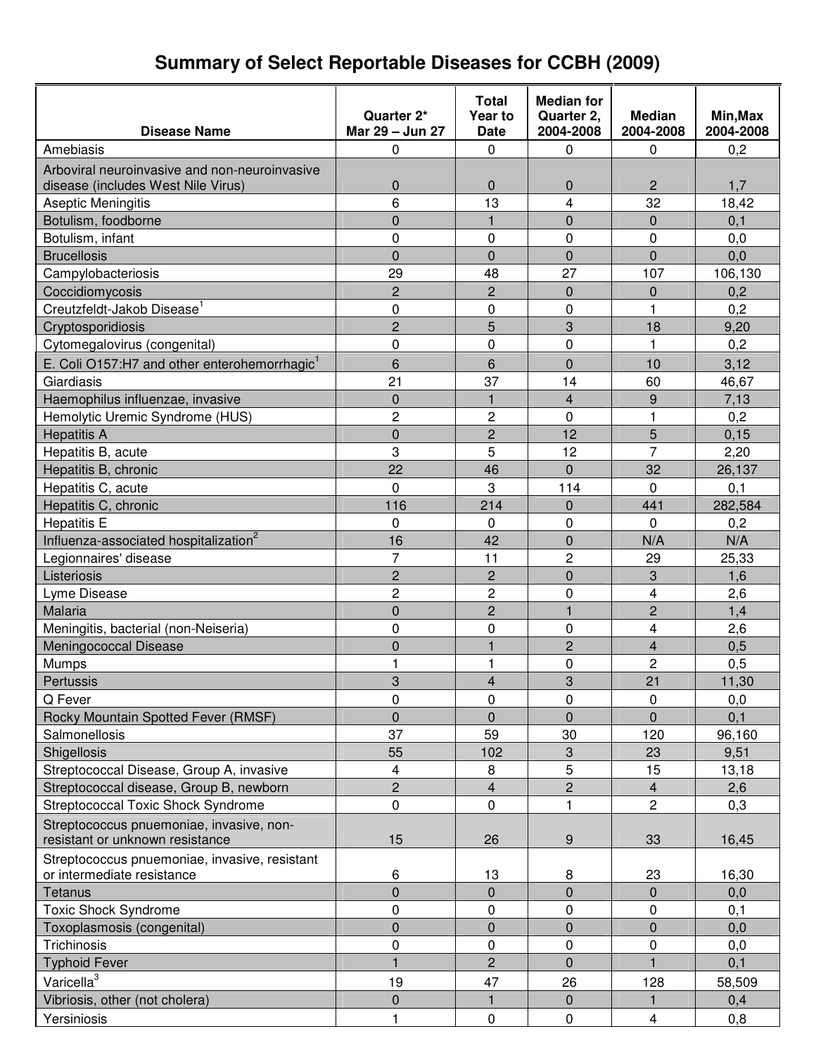# **Summary of Select Reportable Diseases for CCBH (2009)**

|                                                          | Quarter 2*      | Total<br>Year to        | <b>Median for</b><br>Quarter 2, | <b>Median</b>           | Min, Max  |
|----------------------------------------------------------|-----------------|-------------------------|---------------------------------|-------------------------|-----------|
| <b>Disease Name</b>                                      | Mar 29 - Jun 27 | <b>Date</b>             | 2004-2008                       | 2004-2008               | 2004-2008 |
| Amebiasis                                                | 0               | 0                       | $\mathbf 0$                     | 0                       | 0,2       |
| Arboviral neuroinvasive and non-neuroinvasive            |                 |                         |                                 |                         |           |
| disease (includes West Nile Virus)                       | $\mathbf 0$     | 0                       | 0                               | $\overline{2}$          | 1,7       |
| Aseptic Meningitis                                       | 6               | 13                      | 4                               | 32                      | 18,42     |
| Botulism, foodborne                                      | $\mathbf 0$     | 1                       | $\Omega$                        | $\mathbf 0$             | 0,1       |
| Botulism, infant                                         | 0               | 0                       | 0                               | 0                       | 0,0       |
| <b>Brucellosis</b>                                       | $\overline{0}$  | $\overline{0}$          | $\overline{0}$                  | $\overline{0}$          | 0,0       |
| Campylobacteriosis                                       | 29              | 48                      | 27                              | 107                     | 106,130   |
| Coccidiomycosis                                          | $\overline{c}$  | $\overline{2}$          | 0                               | 0                       | 0,2       |
| Creutzfeldt-Jakob Disease <sup>1</sup>                   | 0               | 0                       | 0                               | 1                       | 0,2       |
| Cryptosporidiosis                                        | $\overline{c}$  | 5                       | 3                               | 18                      | 9,20      |
| Cytomegalovirus (congenital)                             | 0               | 0                       | 0                               | 1                       | 0,2       |
| E. Coli O157:H7 and other enterohemorrhagic <sup>1</sup> | 6               | 6                       | $\Omega$                        | 10                      | 3,12      |
| Giardiasis                                               | 21              | 37                      | 14                              | 60                      | 46,67     |
| Haemophilus influenzae, invasive                         | $\mathbf 0$     | $\mathbf{1}$            | 4                               | 9                       | 7,13      |
| Hemolytic Uremic Syndrome (HUS)                          | $\overline{2}$  | 2                       | $\mathbf 0$                     | $\mathbf{1}$            | 0,2       |
| <b>Hepatitis A</b>                                       | $\overline{0}$  | $\overline{c}$          | 12                              | 5                       | 0, 15     |
| Hepatitis B, acute                                       | 3               | 5                       | 12                              | $\overline{7}$          | 2,20      |
| Hepatitis B, chronic                                     | 22              | 46                      | $\overline{0}$                  | 32                      | 26,137    |
| Hepatitis C, acute                                       | 0               | 3                       | 114                             | 0                       | 0,1       |
| Hepatitis C, chronic                                     | 116             | 214                     | $\overline{0}$                  | 441                     | 282,584   |
| <b>Hepatitis E</b>                                       | 0               | 0                       | 0                               | $\Omega$                | 0,2       |
| Influenza-associated hospitalization <sup>2</sup>        | 16              | 42                      | 0                               | N/A                     | N/A       |
| Legionnaires' disease                                    | $\overline{7}$  | 11                      | 2                               | 29                      | 25,33     |
| Listeriosis                                              | $\overline{2}$  | $\overline{2}$          | $\overline{0}$                  | 3                       | 1,6       |
| Lyme Disease                                             | $\overline{c}$  | 2                       | 0                               | 4                       | 2,6       |
| Malaria                                                  | $\overline{0}$  | $\overline{c}$          | $\mathbf{1}$                    | $\overline{c}$          | 1,4       |
| Meningitis, bacterial (non-Neiseria)                     | $\mathbf 0$     | 0                       | 0                               | 4                       | 2,6       |
| Meningococcal Disease                                    | $\overline{0}$  | $\overline{\mathbf{1}}$ | $\overline{c}$                  | $\overline{\mathbf{4}}$ | 0,5       |
| Mumps                                                    |                 | 1                       | 0                               | 2                       | 0,5       |
| Pertussis                                                | 3               | 4                       | 3                               | 21                      | 11,30     |
| Q Fever                                                  | 0               | 0                       | 0                               | 0                       | 0,0       |
| Rocky Mountain Spotted Fever (RMSF)                      | $\mathbf 0$     | $\overline{0}$          | $\overline{0}$                  | $\Omega$                | 0,1       |
| Salmonellosis                                            | 37              | 59                      | 30                              | 120                     | 96,160    |
| Shigellosis                                              | 55              | 102                     | 3                               | 23                      | 9,51      |
| Streptococcal Disease, Group A, invasive                 | $\overline{4}$  | 8                       | 5                               | 15                      | 13,18     |
| Streptococcal disease, Group B, newborn                  | $\overline{c}$  | 4                       | $\overline{c}$                  | $\overline{4}$          | 2,6       |
| Streptococcal Toxic Shock Syndrome                       | $\pmb{0}$       | 0                       | 1                               | $\overline{2}$          | 0,3       |
| Streptococcus pnuemoniae, invasive, non-                 |                 |                         |                                 |                         |           |
| resistant or unknown resistance                          | 15              | 26                      | 9                               | 33                      | 16,45     |
| Streptococcus pnuemoniae, invasive, resistant            |                 |                         |                                 |                         |           |
| or intermediate resistance                               | 6               | 13                      | 8                               | 23                      | 16,30     |
| <b>Tetanus</b>                                           | $\pmb{0}$       | 0                       | 0                               | $\overline{0}$          | 0,0       |
| <b>Toxic Shock Syndrome</b>                              | 0               | 0                       | 0                               | 0                       | 0,1       |
| Toxoplasmosis (congenital)                               | $\mathbf 0$     | $\overline{0}$          | 0                               | $\mathbf 0$             | 0,0       |
| Trichinosis                                              | 0               | 0                       | $\mathbf 0$                     | 0                       | 0,0       |
| <b>Typhoid Fever</b>                                     |                 | $\overline{2}$          | 0                               |                         | 0,1       |
| Varicella <sup>3</sup>                                   | 19              | 47                      | 26                              | 128                     | 58,509    |
| Vibriosis, other (not cholera)                           | $\pmb{0}$       | 1                       | $\pmb{0}$                       | 1                       | 0,4       |
| Yersiniosis                                              |                 | $\pmb{0}$               | $\pmb{0}$                       | $\overline{4}$          | 0,8       |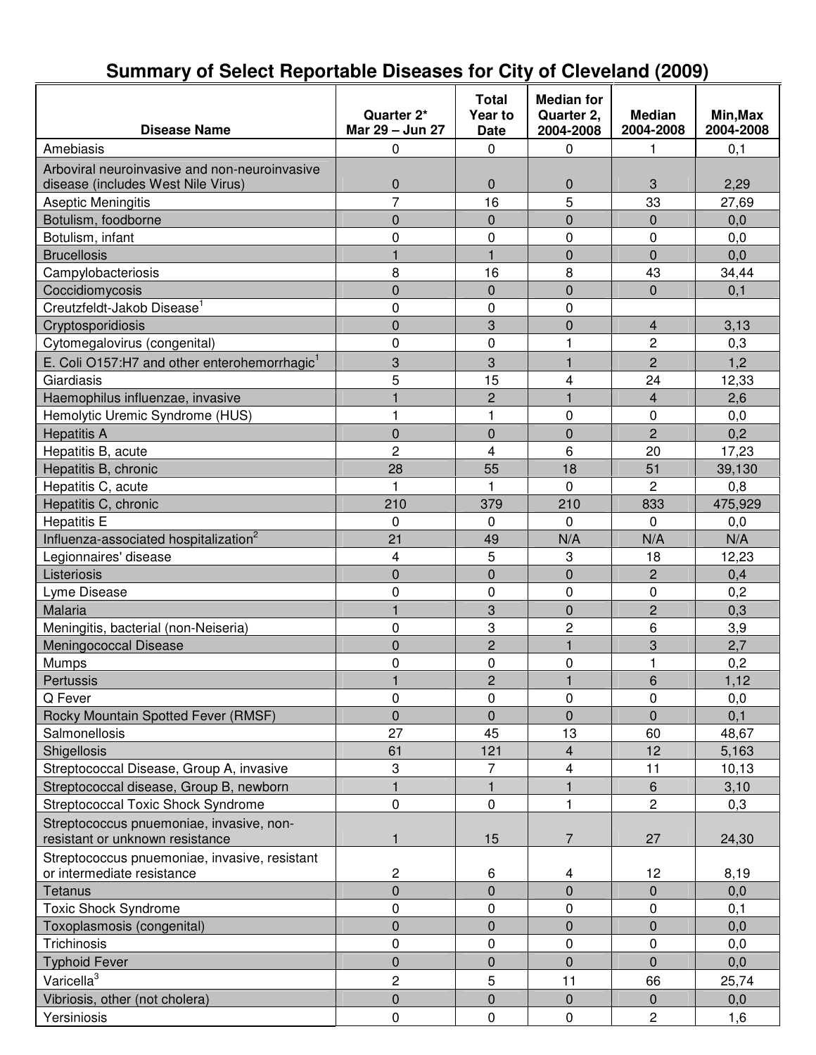#### **Disease Name Quarter 2\* Mar 29 – Jun 27 Total Year to Date Median for Quarter 2, 2004-2008 Median 2004-2008 Min,Max 2004-2008** Amebiasis | 0 | 0 | 0 | 1 | 0,1 Arboviral neuroinvasive and non-neuroinvasive disease (includes West Nile Virus) 0 0 0 3 2,29 Aseptic Meningitis **Aseptic Meningitis 19th** 16 16 16 16 16 33 27,69 Botulism, foodborne **1** 0 0 0 0 0 0 0 0,0 Botulism, infant | 0 | 0 | 0 | 0,0 Brucellosis 1 1 0 0 0,0 Campylobacteriosis 8 16 8 43 34,44 Coccidiomycosis 0 0 0 0 0,1 Creutzfeldt-Jakob Disease 1 0 0 0 Cryptosporidiosis 0 3 0 4 3,13 Cytomegalovirus (congenital) 0 0 1 2 0,3 E. Coli O157:H7 and other enterohemorrhagic<sup>1</sup> 3 3 1 2 1,2 Giardiasis 5 15 4 24 12,33 Haemophilus influenzae, invasive 1 2 1 4 2,6 Hemolytic Uremic Syndrome (HUS)  $\begin{array}{cccc} | & 1 & | & 1 & | & 0 & | & 0 \\ 0 & 0 & 0 & 0 & | & 0 \end{array}$ Hepatitis A | 0 | 0 | 0 | 2 | 0,2 Hepatitis B, acute 2 4 6 20 17,23 Hepatitis B, chronic 28 18 55 18 18 51 39,130 Hepatitis C, acute 1 1 1 1 0 2 0,8 Hepatitis C, chronic 210 210 210 210 210 379 210 833 475,929 Hepatitis E 0 0 0 0,0 Influenza-associated hospitalization 2 21 | 49 | N/A | N/A | N/A Legionnaires' disease **18 12,23** 18 12,23 Listeriosis 0 0 0 2 0,4 Lyme Disease 0 0 0 0 0,2 Malaria 1 - 1 - 1 - 1 - 1 - 1 - 0 - 1 - 2 0,3 Meningitis, bacterial (non-Neiseria) | 0 | 3 | 2 | 6 | 3,9 Meningococcal Disease 1 2 0 2 2 1 3 2,7 Mumps 0 0 0 1 0,2 Pertussis 1 2 1 6 1,12 Q Fever 0 0 0 0 0,0 Rocky Mountain Spotted Fever (RMSF) 0 0 0 0 0 0,1 Salmonellosis 27 1 45 13 60 48,67 Shigellosis 61 121 4 12 5,163 Streptococcal Disease, Group A, invasive 3 7 4 11 10,13 Streptococcal disease, Group B, newborn 1 1 1 1 1 6 3,10 Streptococcal Toxic Shock Syndrome 0 0 1 2 0,3 Streptococcus pnuemoniae, invasive, nonresistant or unknown resistance  $\begin{vmatrix} 1 & 1 \\ 1 & 15 \end{vmatrix}$  15  $\begin{vmatrix} 7 & 1 \\ 27 & 24.30 \end{vmatrix}$  24.30 Streptococcus pnuemoniae, invasive, resistant or intermediate resistance and the contract and the contract of the contract of the contract of the contract of the contract of the contract of the contract of the contract of the contract of the contract of the contract o Tetanus 0 0 0 0 0,0 Toxic Shock Syndrome **1** 0 0 0 0 0 0,1 Toxoplasmosis (congenital) and the control of the control of the control of the control of the control of the control of the control of the control of the control of the control of the control of the control of the control Trichinosis | 0 | 0 | 0 | 0,0 0,0 Typhoid Fever 0 0 0 0 0,0 Varicella<sup>3</sup> 2 5 11 66 25,74 Vibriosis, other (not cholera) 0 0 0 0 0,0 Yersiniosis | 0 | 0 | 2 | 1,6

### **Summary of Select Reportable Diseases for City of Cleveland (2009)**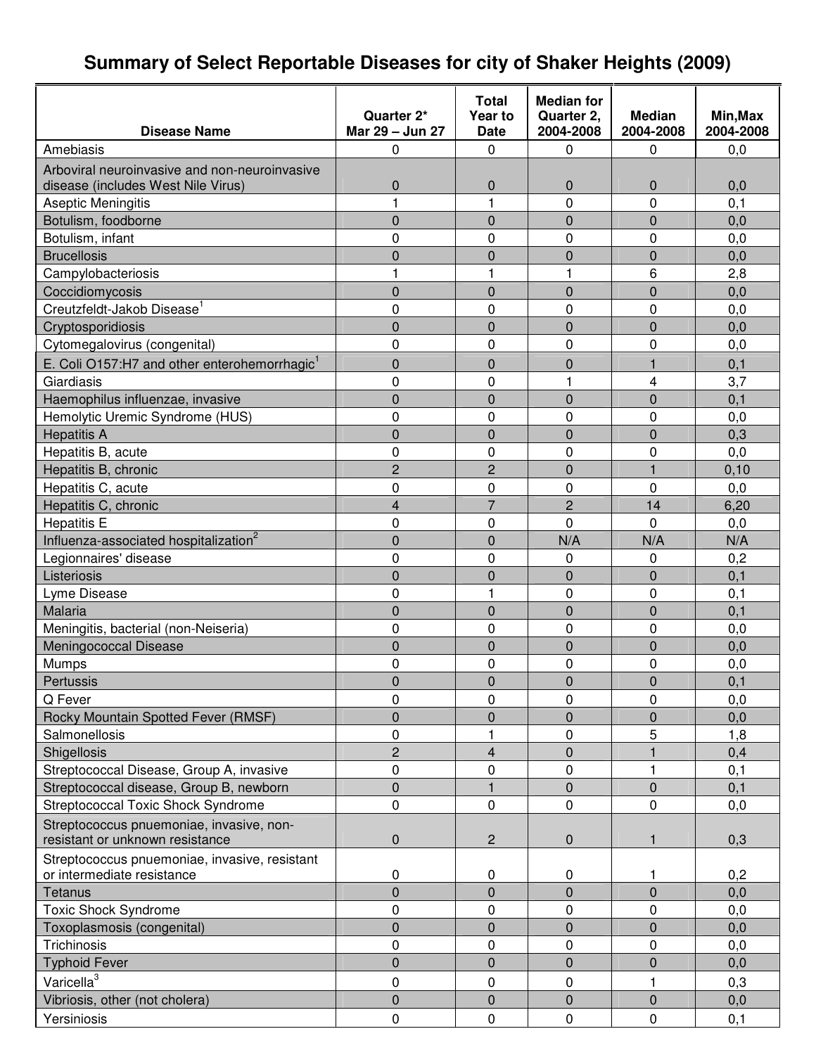# **Summary of Select Reportable Diseases for city of Shaker Heights (2009)**

| <b>Disease Name</b>                                      | Quarter 2*<br>Mar 29 - Jun 27 | Total<br>Year to<br><b>Date</b> | <b>Median for</b><br>Quarter 2,<br>2004-2008 | <b>Median</b><br>2004-2008 | Min, Max<br>2004-2008 |
|----------------------------------------------------------|-------------------------------|---------------------------------|----------------------------------------------|----------------------------|-----------------------|
|                                                          |                               |                                 |                                              |                            |                       |
| Amebiasis                                                | 0                             | 0                               | $\mathbf 0$                                  | 0                          | 0,0                   |
| Arboviral neuroinvasive and non-neuroinvasive            |                               |                                 |                                              |                            |                       |
| disease (includes West Nile Virus)                       | $\mathbf 0$                   | 0                               | 0                                            | $\pmb{0}$                  | 0,0                   |
| <b>Aseptic Meningitis</b>                                |                               | 1                               | 0                                            | 0                          | 0, 1                  |
| Botulism, foodborne                                      | $\overline{0}$                | 0                               | 0                                            | $\mathbf 0$                | 0,0                   |
| Botulism, infant                                         | $\mathbf 0$                   | 0                               | 0                                            | 0                          | 0,0                   |
| <b>Brucellosis</b>                                       | $\overline{0}$                | $\overline{0}$                  | $\overline{0}$                               | $\mathbf 0$                | 0,0                   |
| Campylobacteriosis                                       |                               | 1                               | 1                                            | 6                          | 2,8                   |
| Coccidiomycosis                                          | $\overline{0}$                | 0                               | $\overline{0}$                               | $\overline{0}$             | 0,0                   |
| Creutzfeldt-Jakob Disease <sup>1</sup>                   | $\mathbf 0$                   | 0                               | 0                                            | 0                          | 0,0                   |
| Cryptosporidiosis                                        | $\overline{0}$                | 0                               | 0                                            | $\mathbf 0$                | 0,0                   |
| Cytomegalovirus (congenital)                             | $\mathbf 0$                   | 0                               | 0                                            | 0                          | 0,0                   |
| E. Coli O157:H7 and other enterohemorrhagic <sup>1</sup> | $\overline{0}$                | 0                               | 0                                            | 1                          | 0,1                   |
| Giardiasis                                               | 0                             | 0                               | 1                                            | 4                          | 3,7                   |
| Haemophilus influenzae, invasive                         | $\overline{0}$                | $\overline{0}$                  | $\overline{0}$                               | $\mathbf 0$                | 0,1                   |
| Hemolytic Uremic Syndrome (HUS)                          | $\mathbf 0$                   | 0                               | 0                                            | 0                          | 0,0                   |
| <b>Hepatitis A</b>                                       | $\mathbf 0$                   | 0                               | 0                                            | $\mathbf 0$                | 0,3                   |
| Hepatitis B, acute                                       | 0                             | 0                               | 0                                            | 0                          | 0,0                   |
| Hepatitis B, chronic                                     | $\overline{2}$                | $\overline{2}$                  | $\overline{0}$                               | $\mathbf{1}$               | 0,10                  |
| Hepatitis C, acute                                       | $\mathbf 0$                   | 0                               | 0                                            | 0                          | 0,0                   |
| Hepatitis C, chronic                                     | 4                             | $\overline{7}$                  | $\overline{2}$                               | 14                         | 6,20                  |
| <b>Hepatitis E</b>                                       | $\mathbf 0$                   | 0                               | 0                                            | $\Omega$                   | 0,0                   |
| Influenza-associated hospitalization <sup>2</sup>        | $\overline{0}$                | 0                               | N/A                                          | N/A                        | N/A                   |
| Legionnaires' disease                                    | $\mathbf 0$                   | 0                               | 0                                            | 0                          | 0,2                   |
| Listeriosis                                              | $\overline{0}$                | $\overline{0}$                  | 0                                            | $\mathbf 0$                | 0,1                   |
| Lyme Disease                                             | 0                             | 1                               | 0                                            | 0                          | 0,1                   |
| Malaria                                                  | $\overline{0}$                | 0                               | $\overline{0}$                               | $\mathbf 0$                | 0,1                   |
| Meningitis, bacterial (non-Neiseria)                     | 0                             | 0                               | 0                                            | 0                          | 0,0                   |
| Meningococcal Disease                                    | $\overline{0}$                | 0                               | 0                                            | $\mathbf 0$                | 0,0                   |
| Mumps                                                    | $\mathbf 0$                   | 0                               | 0                                            | 0                          | 0,0                   |
| Pertussis                                                | $\overline{0}$                | $\overline{0}$                  | $\overline{0}$                               | $\pmb{0}$                  | 0,1                   |
| Q Fever                                                  | 0                             | 0                               | 0                                            | $\Omega$                   | 0,0                   |
| Rocky Mountain Spotted Fever (RMSF)                      | $\pmb{0}$                     | 0                               | 0                                            | 0                          | 0,0                   |
| Salmonellosis                                            | $\mathbf 0$                   | 1                               | 0                                            | 5                          | 1,8                   |
| Shigellosis                                              | $\overline{c}$                | 4                               | $\overline{0}$                               |                            | 0,4                   |
| Streptococcal Disease, Group A, invasive                 | 0                             | 0                               | $\pmb{0}$                                    | 1                          | 0,1                   |
| Streptococcal disease, Group B, newborn                  | $\pmb{0}$                     |                                 | 0                                            | $\mathbf 0$                | 0,1                   |
| <b>Streptococcal Toxic Shock Syndrome</b>                | 0                             | 0                               | 0                                            | 0                          | 0,0                   |
| Streptococcus pnuemoniae, invasive, non-                 |                               |                                 |                                              |                            |                       |
| resistant or unknown resistance                          | $\pmb{0}$                     | $\overline{2}$                  | 0                                            | $\mathbf{1}$               | 0,3                   |
| Streptococcus pnuemoniae, invasive, resistant            |                               |                                 |                                              |                            |                       |
| or intermediate resistance                               | 0                             | 0                               | 0                                            | 1                          | 0,2                   |
| Tetanus                                                  | 0                             | 0                               | 0                                            | 0                          | 0,0                   |
| <b>Toxic Shock Syndrome</b>                              | $\mathbf 0$                   | 0                               | 0                                            | 0                          | 0,0                   |
| Toxoplasmosis (congenital)                               | $\overline{0}$                | 0                               | 0                                            | $\mathbf 0$                | 0,0                   |
| Trichinosis                                              | 0                             | 0                               | 0                                            | 0                          | 0,0                   |
| <b>Typhoid Fever</b>                                     | $\overline{0}$                | 0                               | 0                                            | $\mathbf 0$                | 0,0                   |
| Varicella <sup>3</sup>                                   | 0                             | 0                               | 0                                            | 1                          | 0,3                   |
| Vibriosis, other (not cholera)                           | $\mathbf 0$                   | 0                               | 0                                            | $\mathbf 0$                | 0,0                   |
| Yersiniosis                                              | 0                             | 0                               | $\mathbf 0$                                  | 0                          | 0,1                   |